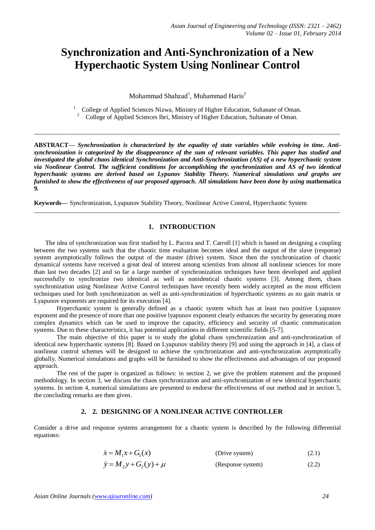# **Synchronization and Anti-Synchronization of a New Hyperchaotic System Using Nonlinear Control**

Mohammad Shahzad<sup>1</sup>, Muhammad Haris<sup>2</sup>

1 College of Applied Sciences Nizwa, Ministry of Higher Education, Sultanate of Oman. 2 College of Applied Sciences Ibri, Ministry of Higher Education, Sultanate of Oman.

 $\_$  ,  $\_$  ,  $\_$  ,  $\_$  ,  $\_$  ,  $\_$  ,  $\_$  ,  $\_$  ,  $\_$  ,  $\_$  ,  $\_$  ,  $\_$  ,  $\_$  ,  $\_$  ,  $\_$  ,  $\_$  ,  $\_$  ,  $\_$  ,  $\_$  ,  $\_$  ,  $\_$  ,  $\_$  ,  $\_$  ,  $\_$  ,  $\_$  ,  $\_$  ,  $\_$  ,  $\_$  ,  $\_$  ,  $\_$  ,  $\_$  ,  $\_$  ,  $\_$  ,  $\_$  ,  $\_$  ,  $\_$  ,  $\_$  ,

**ABSTRACT—** *Synchronization is characterized by the equality of state variables while evolving in time. Antisynchronization is categorized by the disappearance of the sum of relevant variables. This paper has studied and investigated the global chaos identical Synchronization and Anti-Synchronization (AS) of a new hyperchaotic system via Nonlinear Control. The sufficient conditions for accomplishing the synchronization and AS of two identical hyperchaotic systems are derived based on Lypunov Stability Theory. Numerical simulations and graphs are furnished to show the effectiveness of our proposed approach. All simulations have been done by using* **mathematica 9***.*

**Keywords—** Synchronization, Lyapunov Stability Theory, Nonlinear Active Control, Hyperchaotic System

## **1. INTRODUCTION**

 $\_$  ,  $\_$  ,  $\_$  ,  $\_$  ,  $\_$  ,  $\_$  ,  $\_$  ,  $\_$  ,  $\_$  ,  $\_$  ,  $\_$  ,  $\_$  ,  $\_$  ,  $\_$  ,  $\_$  ,  $\_$  ,  $\_$  ,  $\_$  ,  $\_$  ,  $\_$  ,  $\_$  ,  $\_$  ,  $\_$  ,  $\_$  ,  $\_$  ,  $\_$  ,  $\_$  ,  $\_$  ,  $\_$  ,  $\_$  ,  $\_$  ,  $\_$  ,  $\_$  ,  $\_$  ,  $\_$  ,  $\_$  ,  $\_$  ,

The idea of synchronization was first studied by L. Pacora and T. Carroll [1] which is based on designing a coupling between the two systems such that the chaotic time evaluation becomes ideal and the output of the slave (response) system asymptotically follows the output of the master (drive) system. Since then the synchronization of chaotic dynamical systems have received a great deal of interest among scientists from almost all nonlinear sciences for more than last two decades [2] and so far a large number of synchronization techniques have been developed and applied successfully to synchronize two identical as well as nonidentical chaotic systems [3]. Among them, chaos synchronization using Nonlinear Active Control techniques have recently been widely accepted as the most efficient techniques used for both synchronization as well as anti-synchronization of hyperchaotic systems as no gain matrix or Lyapunov exponents are required for its execution [4].

Hyperchaotic system is generally defined as a chaotic system which has at least two positive Lyapunov exponent and the presence of more than one positive lyapunov exponent clearly enhances the security by generating more complex dynamics which can be used to improve the capacity, efficiency and security of chaotic communication systems. Due to these characteristics, it has potential applications in different scientific fields [5-7].

The main objective of this paper is to study the global chaos synchronization and anti-synchronization of identical new hyperchaotic systems [8]. Based on Lyapunov stability theory [9] and using the approach in [4], a class of nonlinear control schemes will be designed to achieve the synchronization and anti-synchronization asymptotically globally. Numerical simulations and graphs will be furnished to show the effectiveness and advantages of our proposed approach.

The rest of the paper is organized as follows: in section 2, we give the problem statement and the proposed methodology. In section 3, we discuss the chaos synchronization and anti-synchronization of new identical hyperchaotic systems. In section 4, numerical simulations are presented to endorse the effectiveness of our method and in section 5, the concluding remarks are then given.

### **2. 2. DESIGNING OF A NONLINEAR ACTIVE CONTROLLER**

Consider a drive and response systems arrangement for a chaotic system is described by the following differential equations:

$$
\dot{x} = M_1 x + G_1(x)
$$
 (Drive system) (2.1)  
\n
$$
\dot{y} = M_2 y + G_2(y) + \mu
$$
 (Response system) (2.2)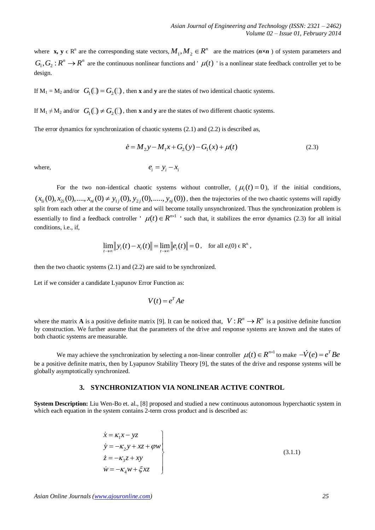where  $\mathbf{x}, \mathbf{y} \in \mathbb{R}^n$  are the corresponding state vectors,  $M_1, M_2 \in \mathbb{R}^n$  are the matrices  $(n \times n)$  of system parameters and  $G_1, G_2: R^n \to R^n$  are the continuous nonlinear functions and '  $\mu(t)$  ' is a nonlinear state feedback controller yet to be design.

If  $M_1 = M_2$  and/or  $G_1(\square) = G_2(\square)$ , then **x** and **y** are the states of two identical chaotic systems.

If  $M_1 \neq M_2$  and/or  $G_1(\square) \neq G_2(\square)$ , then **x** and **y** are the states of two different chaotic systems.

The error dynamics for synchronization of chaotic systems (2.1) and (2.2) is described as,

$$
\dot{e} = M_2 y - M_1 x + G_2(y) - G_1(x) + \mu(t)
$$
\n(2.3)

where,

$$
e_i = y_i - x_i
$$

For the two non-identical chaotic systems without controller,  $(\mu_i(t) = 0)$ , if the initial conditions, For the two non-identical chaotic systems without controller,  $(\mu_i(t) = 0)$ , if the initial conditions,  $(x_{1i}(0), x_{2i}(0), ..., x_{ni}(0) \neq y_{1j}(0), y_{2j}(0), ..., y_{nj}(0))$ , then the trajectories of the two chaotic systems will rapidly split from each other at the course of time and will become totally unsynchronized. Thus the synchronization problem is essentially to find a feedback controller  $\mu(t) \in R^{n \times 1}$  ' such that, it stabilizes the error dynamics (2.3) for all initial conditions, i.e., if,

$$
\lim_{t\to\infty} ||y_i(t) - x_i(t)|| = \lim_{t\to\infty} ||e_i(t)|| = 0, \text{ for all } e_i(0) \in \mathbb{R}^n,
$$

then the two chaotic systems (2.1) and (2.2) are said to be synchronized.

Let if we consider a candidate Lyapunov Error Function as:

$$
V(t) = e^T A e
$$

where the matrix **A** is a positive definite matrix [9]. It can be noticed that,  $V: R^n \to R^n$  is a positive definite function by construction. We further assume that the parameters of the drive and response systems are known and the states of both chaotic systems are measurable.

We may achieve the synchronization by selecting a non-linear controller  $\mu(t) \in R^{n \times 1}$  to make  $-\dot{V}(e) = e^T B e$ be a positive definite matrix, then by Lyapunov Stability Theory [9], the states of the drive and response systems will be globally asymptotically synchronized.

#### **3. SYNCHRONIZATION VIA NONLINEAR ACTIVE CONTROL**

**System Description:** Liu Wen-Bo et. al., [8] proposed and studied a new continuous autonomous hyperchaotic system in which each equation in the system contains 2-term cross product and is described as:

$$
\begin{aligned}\n\dot{x} &= \kappa_1 x - yz \\
\dot{y} &= -\kappa_2 y + xz + \varphi w \\
\dot{z} &= -\kappa_3 z + xy \\
\dot{w} &= -\kappa_4 w + \xi xz\n\end{aligned}
$$
\n(3.1.1)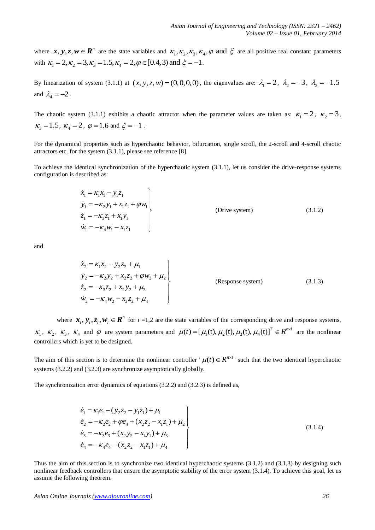where  $x, y, z, w \in \mathbb{R}^n$  are the state variables and  $\kappa_1, \kappa_2, \kappa_3, \kappa_4, \varphi$  and  $\xi$  are all positive real constant parameters with  $\kappa_1 = 2, \kappa_2 = 3, \kappa_3 = 1.5, \kappa_4 = 2, \varphi \in [0.4, 3)$  and  $\xi = -1$ . a  $x, y, z, w \in \mathbb{R}^n$  are the state variables and  $\kappa_1, \kappa_2, \kappa_3, \kappa_4, \varphi$  and  $\kappa_1 = 2, \kappa_2 = 3, \kappa_3 = 1.5, \kappa_4 = 2, \varphi \in [0.4, 3)$  and  $\xi = -1$ .

By linearization of system (3.1.1) at  $(x, y, z, w) = (0, 0, 0, 0)$ , the eigenvalues are:  $\lambda_1 = 2$ ,  $\lambda_2 = -3$ ,  $\lambda_3 = -1.5$ and  $\lambda_4 = -2$ .

The chaotic system (3.1.1) exhibits a chaotic attractor when the parameter values are taken as:  $\kappa_1 = 2$ ,  $\kappa_2 = 3$ ,  $\kappa_3 = 1.5$ ,  $\kappa_4 = 2$ ,  $\varphi = 1.6$  and  $\xi = -1$ .

For the dynamical properties such as hyperchaotic behavior, bifurcation, single scroll, the 2-scroll and 4-scroll chaotic attractors etc. for the system (3.1.1), please see reference [8].

To achieve the identical synchronization of the hyperchaotic system (3.1.1), let us consider the drive-response systems configuration is described as:

$$
\begin{aligned}\n\dot{x}_1 &= \kappa_1 x_1 - y_1 z_1 \\
\dot{y}_1 &= -\kappa_2 y_1 + x_1 z_1 + \varphi w_1 \\
\dot{z}_1 &= -\kappa_3 z_1 + x_1 y_1 \\
\dot{w}_1 &= -\kappa_4 w_1 - x_1 z_1\n\end{aligned}
$$
\n(Drive system) (3.1.2)

and

$$
\begin{aligned}\n\dot{x}_2 &= \kappa_1 x_2 - y_2 z_2 + \mu_1 \\
\dot{y}_2 &= -\kappa_2 y_2 + x_2 z_2 + \varphi w_2 + \mu_2 \\
\dot{z}_2 &= -\kappa_3 z_2 + x_2 y_2 + \mu_3 \\
\dot{w}_2 &= -\kappa_4 w_2 - x_2 z_2 + \mu_4\n\end{aligned}\n\tag{3.1.3}
$$

where  $\mathbf{x}_i, \mathbf{y}_i, \mathbf{z}_i, \mathbf{w}_i \in \mathbb{R}^n$  for  $i = 1, 2$  are the state variables of the corresponding drive and response systems,  $\kappa_1$ ,  $\kappa_2$ ,  $\kappa_3$ ,  $\kappa_4$  and  $\varphi$  are system parameters and  $\mu(t) = [\mu_1(t), \mu_2(t), \mu_3(t), \mu_4(t)]^T \in R^{n \times 1}$ tate variables of the corresponding drive and response systems,<br>  $\mu(t) = [\mu_1(t), \mu_2(t), \mu_3(t), \mu_4(t)]^T \in R^{n \times 1}$  are the nonlinear controllers which is yet to be designed.

The aim of this section is to determine the nonlinear controller  $\mu(t) \in R^{n \times 1}$  such that the two identical hyperchaotic systems (3.2.2) and (3.2.3) are synchronize asymptotically globally.

The synchronization error dynamics of equations (3.2.2) and (3.2.3) is defined as,

$$
\dot{e}_1 = \kappa_1 e_1 - (y_2 z_2 - y_1 z_1) + \mu_1 \n\dot{e}_2 = -\kappa_2 e_2 + \varphi e_4 + (x_2 z_2 - x_1 z_1) + \mu_2 \n\dot{e}_3 = -\kappa_3 e_3 + (x_2 y_2 - x_1 y_1) + \mu_3 \n\dot{e}_4 = -\kappa_4 e_4 - (x_2 z_2 - x_1 z_1) + \mu_4
$$
\n(3.1.4)

Thus the aim of this section is to synchronize two identical hyperchaotic systems (3.1.2) and (3.1.3) by designing such nonlinear feedback controllers that ensure the asymptotic stability of the error system (3.1.4). To achieve this goal, let us assume the following theorem.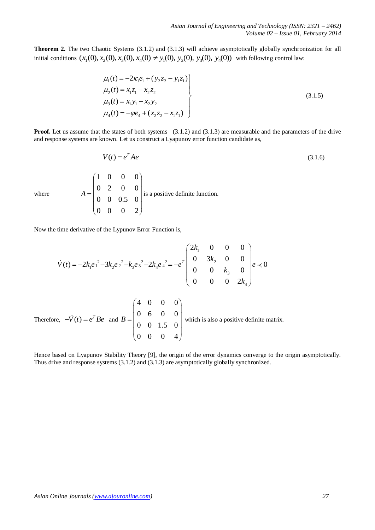**Theorem 2.** The two Chaotic Systems (3.1.2) and (3.1.3) will achieve asymptotically globally synchronization for all **Theorem 2.** The two Chaotic Systems (3.1.2) and (3.1.3) will achieve asymptotically globally synchror initial conditions  $(x_1(0), x_2(0), x_3(0), x_4(0) \neq y_1(0), y_2(0), y_3(0), y_4(0))$  with following control law:

$$
\mu_1(t) = -2\kappa_1 e_1 + (y_2 z_2 - y_1 z_1) \n\mu_2(t) = x_1 z_1 - x_2 z_2 \n\mu_3(t) = x_1 y_1 - x_2 y_2 \n\mu_4(t) = -\varphi e_4 + (x_2 z_2 - x_1 z_1)
$$
\n(3.1.5)

**Proof.** Let us assume that the states of both systems (3.1.2) and (3.1.3) are measurable and the parameters of the drive and response systems are known. Let us construct a Lyapunov error function candidate as,

$$
V(t) = e^T A e \tag{3.1.6}
$$

where

1 0 0 0  $0 \quad 2 \quad 0 \quad 0$  $0 \t 0 \t 0.5 \t 0$  $0 \t 0 \t 0 \t 2$ *A*  $\begin{pmatrix} 1 & 0 & 0 & 0 \\ 0 & 2 & 0 & 0 \end{pmatrix}$  $=\begin{vmatrix} 0 & 2 & 0 & 0 \\ 0 & 0 & 0 & 0 \end{vmatrix}$  is a  $\begin{vmatrix} 0 & 0 & 0.5 & 0 \end{vmatrix}$  is  $\begin{pmatrix} 0 & 0 & 0.5 & 0 \\ 0 & 0 & 0 & 2 \end{pmatrix}$ is a positive definite function.

Now the time derivative of the Lypunov Error Function is,

ne time derivative of the Lypunov Error Function is,  
\n
$$
\dot{V}(t) = -2k_1e_1^2 - 3k_2e_2^2 - k_3e_3^2 - 2k_4e_4^2 = -e^T \begin{pmatrix} 2k_1 & 0 & 0 & 0 \\ 0 & 3k_2 & 0 & 0 \\ 0 & 0 & k_3 & 0 \\ 0 & 0 & 0 & 2k_4 \end{pmatrix} e \prec 0
$$

Therefore,  $-\dot{V}(t) = e^T B e$  and 4 0 0 0  $0 \t6 \t0 \t0$  $0 \t 0 \t 1.5 \t 0$  $0 \t 0 \t 0 \t 4$ *B*  $\begin{pmatrix} 4 & 0 & 0 & 0 \\ 0 & 6 & 0 & 0 \end{pmatrix}$  $=\begin{vmatrix} 0 & 6 & 0 & 0 \\ 0 & 0 & 1 & 0 \end{vmatrix}$  w  $\begin{pmatrix} 0 & 0 & 1.5 & 0 \end{pmatrix}$  w  $\begin{pmatrix} 0 & 0 & 1.5 & 0 \\ 0 & 0 & 0 & 4 \end{pmatrix}$ which is also a positive definite matrix.

Hence based on Lyapunov Stability Theory [9], the origin of the error dynamics converge to the origin asymptotically. Thus drive and response systems (3.1.2) and (3.1.3) are asymptotically globally synchronized.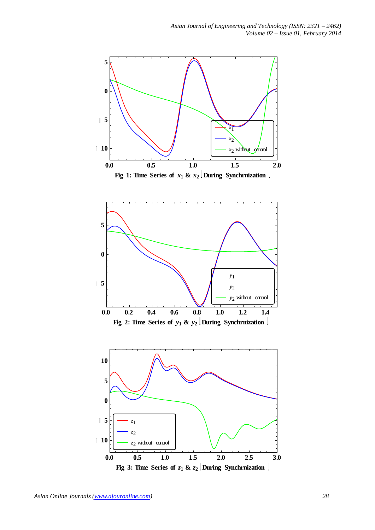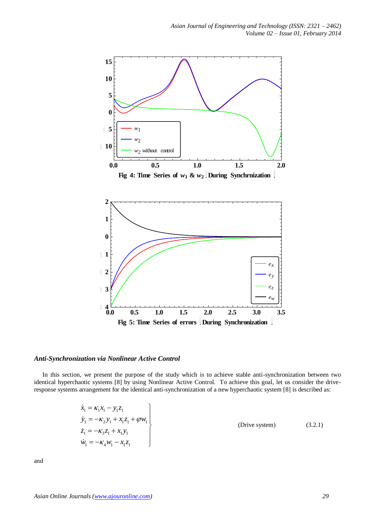

#### *Anti-Synchronization via Nonlinear Active Control*

In this section, we present the purpose of the study which is to achieve stable anti-synchronization between two identical hyperchaotic systems [8] by using Nonlinear Active Control. To achieve this goal, let us consider the driveresponse systems arrangement for the identical anti-synchronization of a new hyperchaotic system [8] is described as:

$$
\begin{aligned}\n\dot{x}_1 &= \kappa_1 x_1 - y_1 z_1 \\
\dot{y}_1 &= -\kappa_2 y_1 + x_1 z_1 + \varphi w_1 \\
\dot{z}_1 &= -\kappa_3 z_1 + x_1 y_1 \\
\dot{w}_1 &= -\kappa_4 w_1 - x_1 z_1\n\end{aligned}
$$
\n(Drive system) (3.2.1)

and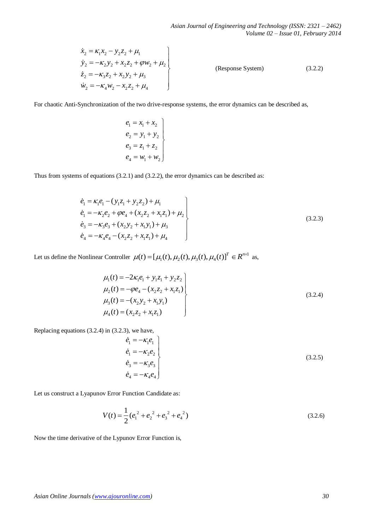$$
\begin{aligned}\n\dot{x}_2 &= \kappa_1 x_2 - y_2 z_2 + \mu_1 \\
\dot{y}_2 &= -\kappa_2 y_2 + x_2 z_2 + \varphi w_2 + \mu_2 \\
\dot{z}_2 &= -\kappa_3 z_2 + x_2 y_2 + \mu_3 \\
\dot{w}_2 &= -\kappa_4 w_2 - x_2 z_2 + \mu_4\n\end{aligned}
$$
\n(Response System) (3.2.2)

For chaotic Anti-Synchronization of the two drive-response systems, the error dynamics can be described as,

$$
\begin{aligned}\ne_1 &= x_1 + x_2 \\
e_2 &= y_1 + y_2 \\
e_3 &= z_1 + z_2 \\
e_4 &= w_1 + w_2\n\end{aligned}
$$

Thus from systems of equations (3.2.1) and (3.2.2), the error dynamics can be described as:

$$
\dot{x}_2 = K_1 x_2 - y_2 z_2 + \mu_1
$$
\n
$$
\dot{y}_2 = -\kappa_2 y_2 + x_2 z_2 + \varphi w_2 + \mu_2
$$
\n
$$
\dot{z}_2 = -\kappa_3 z_2 + x_3 y_2 + \mu_3
$$
\n(Respose System) (3.2.2)  
\n
$$
\dot{y}_2 = -\kappa_4 w_2 - x_1 z_2 + \mu_4
$$
\nFor chaotic Anti-Syndronization of the two drive-response systems, the error dynamics can be described as,  
\n
$$
e_1 = x_1 + x_2
$$
\n
$$
e_2 = y_1 + y_2
$$
\n
$$
e_3 = z_1 + z_2
$$
\n
$$
e_4 = w_1 + w_3
$$
\nThus from systems of equations (3.2.1) and (3.2.2), the error dynamics can be described as:  
\n
$$
\dot{e}_1 = K_1 e_1 - (y_1 z_1 + y_2 z_2) + \mu_1
$$
\n
$$
\dot{e}_1 = -K_2 e_2 + \varphi e_4 + (x_2 z_2 + x_1 z_1) + \mu_2
$$
\n
$$
\dot{e}_2 = -\kappa_2 e_3 + (\kappa_2 y_2 + x_1 y_1) + \mu_3
$$
\n
$$
\dot{e}_3 = -\kappa_2 e_4 - (\kappa_2 z_2 + x_1 z_1) + \mu_4
$$
\n(3.2.3)  
\nLet us define the Nonlinear Controller  $\mu(t) = [ \mu_4(t), \mu_2(t), \mu_3(t), \mu_4(t)]^T \in \mathbb{R}^{n \text{-}1}$  as,  
\n
$$
\mu_4(t) = -2\kappa_1 e_1 + y_1 z_2 + y_2 z_2
$$
\n
$$
\mu_5(t) = -\varphi e_4 - (x_2 z_2 + x_1 z_1)
$$
\n
$$
\mu_6(t) = (-x_3 y_2 + x_1 y_1)
$$
\n(3.2.4)  
\n
$$
\mu_7(t) = (-x_3 y_2 + x_1 y_1)
$$
\n(3.2.5)  
\n
$$
\dot{e}_1 = -\kappa_2 e_1
$$
\n
$$
\dot{e}_2 =
$$

Let us define the Nonlinear Controller  $\mu(t) = [\mu_1(t), \mu_2(t), \mu_3(t), \mu_4(t)]^T \in R^{n \times 1}$  $\mu(t) = [\mu_1(t), \mu_2(t), \mu_3(t), \mu_4(t)]^T \in R^{n \times 1}$  as,

$$
\mu_1(t) = -2\kappa_1 e_1 + y_1 z_1 + y_2 z_2 \n\mu_2(t) = -\varphi e_4 - (x_2 z_2 + x_1 z_1) \n\mu_3(t) = -(x_2 y_2 + x_1 y_1) \n\mu_4(t) = (x_2 z_2 + x_1 z_1)
$$
\n(3.2.4)

Replacing equations (3.2.4) in (3.2.3), we have,

$$
\begin{aligned}\n\dot{e}_1 &= -\kappa_1 e_1 \\
\dot{e}_1 &= -\kappa_2 e_2 \\
\dot{e}_3 &= -\kappa_3 e_3 \\
\dot{e}_4 &= -\kappa_4 e_4\n\end{aligned}
$$
\n(3.2.5)

Let us construct a Lyapunov Error Function Candidate as:

$$
V(t) = \frac{1}{2} (e_1^2 + e_2^2 + e_3^2 + e_4^2)
$$
 (3.2.6)

Now the time derivative of the Lypunov Error Function is,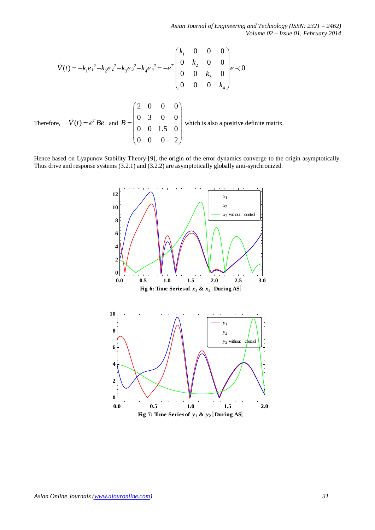*Asian Journal of Engineering and Technology (ISSN: 2321 – 2462) Volume 02 – Issue 01, February 2014*

$$
\dot{V}(t) = -k_1 e_1^2 - k_2 e_2^2 - k_3 e_3^2 - k_4 e_4^2 = -e^T \begin{pmatrix} k_1 & 0 & 0 & 0 \\ 0 & k_2 & 0 & 0 \\ 0 & 0 & k_3 & 0 \\ 0 & 0 & 0 & k_4 \end{pmatrix} e \prec 0
$$
  
Therefore,  $-\dot{V}(t) = e^T Be$  and  $B = \begin{pmatrix} 2 & 0 & 0 & 0 \\ 0 & 3 & 0 & 0 \\ 0 & 0 & 1.5 & 0 \\ 0 & 0 & 0 & 2 \end{pmatrix}$  which is also a positive definite matrix.

Hence based on Lyapunov Stability Theory [9], the origin of the error dynamics converge to the origin asymptotically. Thus drive and response systems (3.2.1) and (3.2.2) are asymptotically globally anti-synchronized.

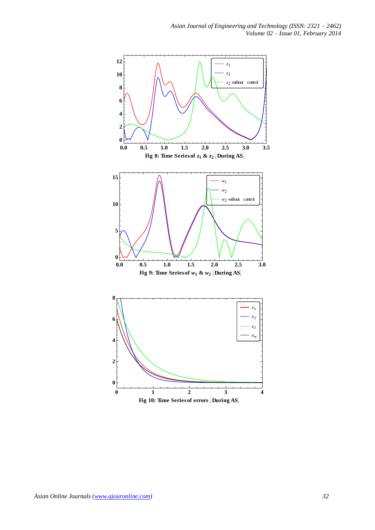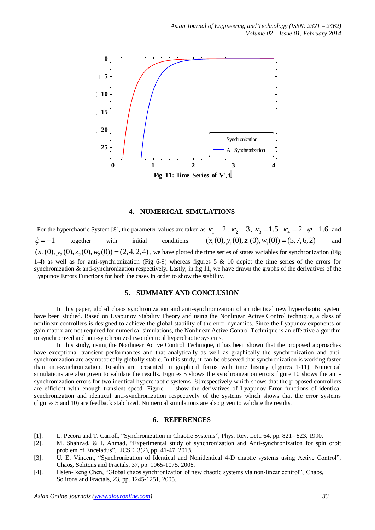

## **4. NUMERICAL SIMULATIONS**

For the hyperchaotic System [8], the parameter values are taken as  $\kappa_1 = 2$ ,  $\kappa_2 = 3$ ,  $\kappa_3 = 1.5$ ,  $\kappa_4 = 2$ ,  $\varphi = 1.6$  and  $\mathcal{E}=-1$ together with initial conditions:  $(x_1(0), y_1(0), z_1(0), w_1(0)) = (5,7,6,2)$ and  $\xi = -1$  together with initial conditions:  $(x_1(0), y_1(0), z_1(0), w_1(0)) = (5, 7, 6, 2)$  and  $(x_2(0), y_2(0), z_2(0), w_2(0)) = (2, 4, 2, 4)$ , we have plotted the time series of states variables for synchronization (Fig. 1-4) as well as for anti-synchronization (Fig 6-9) whereas figures 5 & 10 depict the time series of the errors for synchronization & anti-synchronization respectively. Lastly, in fig 11, we have drawn the graphs of the derivatives of the Lyapunov Errors Functions for both the cases in order to show the stability.

## **5. SUMMARY AND CONCLUSION**

In this paper, global chaos synchronization and anti-synchronization of an identical new hyperchaotic system have been studied. Based on Lyapunov Stability Theory and using the Nonlinear Active Control technique, a class of nonlinear controllers is designed to achieve the global stability of the error dynamics. Since the Lyapunov exponents or gain matrix are not required for numerical simulations, the Nonlinear Active Control Technique is an effective algorithm to synchronized and anti-synchronized two identical hyperchaotic systems.

In this study, using the Nonlinear Active Control Technique, it has been shown that the proposed approaches have exceptional transient performances and that analytically as well as graphically the synchronization and antisynchronization are asymptotically globally stable. In this study, it can be observed that synchronization is working faster than anti-synchronization. Results are presented in graphical forms with time history (figures 1-11). Numerical simulations are also given to validate the results. Figures 5 shows the synchronization errors figure 10 shows the antisynchronization errors for two identical hyperchaotic systems [8] respectively which shows that the proposed controllers are efficient with enough transient speed. Figure 11 show the derivatives of Lyapunov Error functions of identical synchronization and identical anti-synchronization respectively of the systems which shows that the error systems (figures 5 and 10) are feedback stabilized. Numerical simulations are also given to validate the results.

## **6. REFERENCES**

- [1]. L. Pecora and T. Carroll, "Synchronization in Chaotic Systems", Phys. Rev. Lett. 64, pp. 821– 823, 1990.
- [2]. M. Shahzad, & I. Ahmad, "Experimental study of synchronization and Anti-synchronization for spin orbit problem of Enceladus", IJCSE, 3(2), pp. 41-47, 2013.
- [3]. U. E. Vincent, "Synchronization of Identical and Nonidentical 4-D chaotic systems using Active Control", Chaos, Solitons and Fractals, 37, pp. 1065-1075, 2008.
- [4]. Hsien- keng Chen, "Global chaos synchronization of new chaotic systems via non-linear control", Chaos, Solitons and Fractals, 23, pp. 1245-1251, 2005.